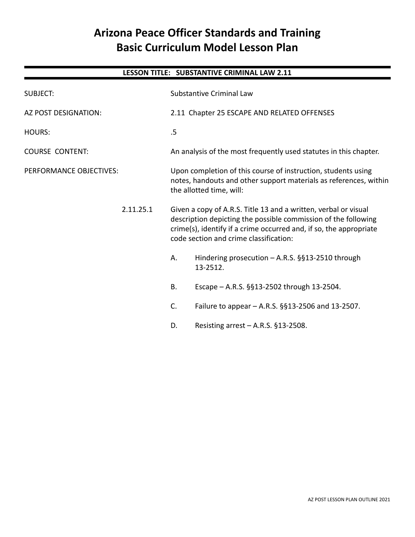# **Arizona Peace Officer Standards and Training Basic Curriculum Model Lesson Plan**

# **LESSON TITLE: SUBSTANTIVE CRIMINAL LAW 2.11** SUBJECT: Substantive Criminal Law AZ POST DESIGNATION: 2.11 Chapter 25 ESCAPE AND RELATED OFFENSES HOURS: 5 COURSE CONTENT: An analysis of the most frequently used statutes in this chapter. PERFORMANCE OBJECTIVES: Upon completion of this course of instruction, students using notes, handouts and other support materials as references, within the allotted time, will: 2.11.25.1 Given a copy of A.R.S. Title 13 and a written, verbal or visual description depicting the possible commission of the following crime(s), identify if a crime occurred and, if so, the appropriate code section and crime classification: A. Hindering prosecution – A.R.S. §§13-2510 through 13-2512. B. Escape – A.R.S. §§13-2502 through 13-2504. C. Failure to appear – A.R.S. §§13-2506 and 13-2507. D. Resisting arrest – A.R.S. §13-2508.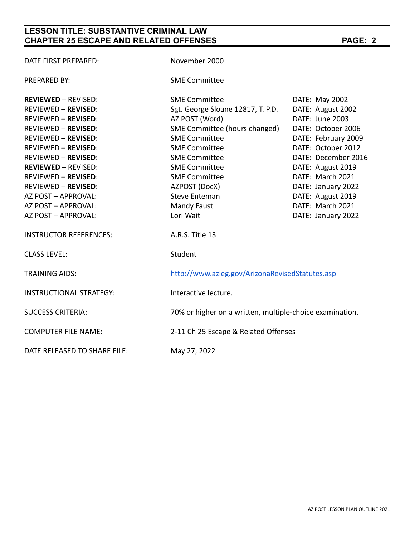# **LESSON TITLE: SUBSTANTIVE CRIMINAL LAW CHAPTER 25 ESCAPE AND RELATED OFFENSES PAGE: 2**

| DATE FIRST PREPARED:           | November 2000                                            |                     |
|--------------------------------|----------------------------------------------------------|---------------------|
| <b>PREPARED BY:</b>            | <b>SME Committee</b>                                     |                     |
| <b>REVIEWED - REVISED:</b>     | <b>SME Committee</b>                                     | DATE: May 2002      |
| <b>REVIEWED - REVISED:</b>     | Sgt. George Sloane 12817, T. P.D.                        | DATE: August 2002   |
| <b>REVIEWED - REVISED:</b>     | AZ POST (Word)                                           | DATE: June 2003     |
| <b>REVIEWED - REVISED:</b>     | SME Committee (hours changed)                            | DATE: October 2006  |
| <b>REVIEWED - REVISED:</b>     | <b>SME Committee</b>                                     | DATE: February 2009 |
| <b>REVIEWED - REVISED:</b>     | <b>SME Committee</b>                                     | DATE: October 2012  |
| <b>REVIEWED - REVISED:</b>     | <b>SME Committee</b>                                     | DATE: December 2016 |
| <b>REVIEWED - REVISED:</b>     | <b>SME Committee</b>                                     | DATE: August 2019   |
| <b>REVIEWED - REVISED:</b>     | <b>SME Committee</b>                                     | DATE: March 2021    |
| <b>REVIEWED - REVISED:</b>     | AZPOST (DocX)                                            | DATE: January 2022  |
| AZ POST - APPROVAL:            | <b>Steve Enteman</b>                                     | DATE: August 2019   |
| AZ POST - APPROVAL:            | <b>Mandy Faust</b>                                       | DATE: March 2021    |
| AZ POST - APPROVAL:            | Lori Wait                                                | DATE: January 2022  |
| <b>INSTRUCTOR REFERENCES:</b>  | A.R.S. Title 13                                          |                     |
| <b>CLASS LEVEL:</b>            | Student                                                  |                     |
| <b>TRAINING AIDS:</b>          | http://www.azleg.gov/ArizonaRevisedStatutes.asp          |                     |
| <b>INSTRUCTIONAL STRATEGY:</b> | Interactive lecture.                                     |                     |
| <b>SUCCESS CRITERIA:</b>       | 70% or higher on a written, multiple-choice examination. |                     |
| <b>COMPUTER FILE NAME:</b>     | 2-11 Ch 25 Escape & Related Offenses                     |                     |
| DATE RELEASED TO SHARE FILE:   | May 27, 2022                                             |                     |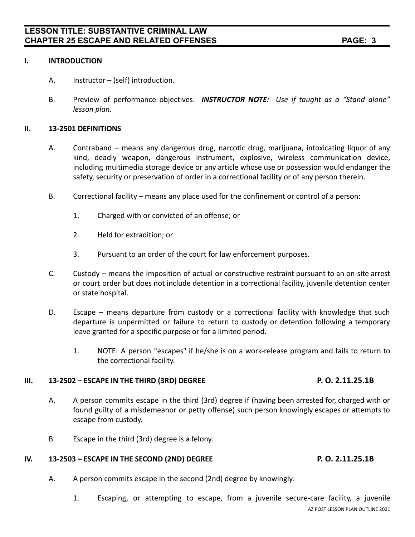### **I. INTRODUCTION**

- A. Instructor (self) introduction.
- B. Preview of performance objectives. *INSTRUCTOR NOTE: Use if taught as a "Stand alone" lesson plan.*

## **II. 13-2501 DEFINITIONS**

- A. Contraband means any dangerous drug, narcotic drug, marijuana, intoxicating liquor of any kind, deadly weapon, dangerous instrument, explosive, wireless communication device, including multimedia storage device or any article whose use or possession would endanger the safety, security or preservation of order in a correctional facility or of any person therein.
- B. Correctional facility means any place used for the confinement or control of a person:
	- 1. Charged with or convicted of an offense; or
	- 2. Held for extradition; or
	- 3. Pursuant to an order of the court for law enforcement purposes.
- C. Custody means the imposition of actual or constructive restraint pursuant to an on-site arrest or court order but does not include detention in a correctional facility, juvenile detention center or state hospital.
- D. Escape means departure from custody or a correctional facility with knowledge that such departure is unpermitted or failure to return to custody or detention following a temporary leave granted for a specific purpose or for a limited period.
	- 1. NOTE: A person "escapes" if he/she is on a work-release program and fails to return to the correctional facility.

### **III. 13-2502 – ESCAPE IN THE THIRD (3RD) DEGREE P. O. 2.11.25.1B**

- A. A person commits escape in the third (3rd) degree if (having been arrested for, charged with or found guilty of a misdemeanor or petty offense) such person knowingly escapes or attempts to escape from custody.
- B. Escape in the third (3rd) degree is a felony.

# **IV. 13-2503 – ESCAPE IN THE SECOND (2ND) DEGREE P. O. 2.11.25.1B**

- A. A person commits escape in the second (2nd) degree by knowingly:
	- 1. Escaping, or attempting to escape, from a juvenile secure-care facility, a juvenile AZ POST LESSON PLAN OUTLINE 2021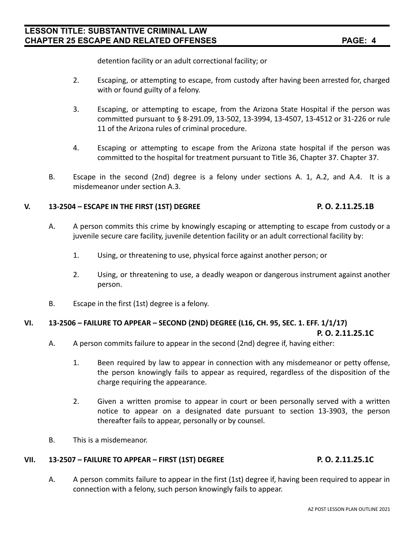detention facility or an adult correctional facility; or

- 2. Escaping, or attempting to escape, from custody after having been arrested for, charged with or found guilty of a felony.
- 3. Escaping, or attempting to escape, from the Arizona State Hospital if the person was committed pursuant to § 8-291.09, 13-502, 13-3994, 13-4507, 13-4512 or 31-226 or rule 11 of the Arizona rules of criminal procedure.
- 4. Escaping or attempting to escape from the Arizona state hospital if the person was committed to the hospital for treatment pursuant to Title 36, Chapter 37. Chapter 37.
- B. Escape in the second (2nd) degree is a felony under sections A. 1, A.2, and A.4. It is a misdemeanor under section A.3.

## **V. 13-2504 – ESCAPE IN THE FIRST (1ST) DEGREE P. O. 2.11.25.1B**

- A. A person commits this crime by knowingly escaping or attempting to escape from custody or a juvenile secure care facility, juvenile detention facility or an adult correctional facility by:
	- 1. Using, or threatening to use, physical force against another person; or
	- 2. Using, or threatening to use, a deadly weapon or dangerous instrument against another person.
- B. Escape in the first (1st) degree is a felony.

# **VI. 13-2506 – FAILURE TO APPEAR – SECOND (2ND) DEGREE (L16, CH. 95, SEC. 1. EFF. 1/1/17)**

# **P. O. 2.11.25.1C**

- A. A person commits failure to appear in the second (2nd) degree if, having either:
	- 1. Been required by law to appear in connection with any misdemeanor or petty offense, the person knowingly fails to appear as required, regardless of the disposition of the charge requiring the appearance.
	- 2. Given a written promise to appear in court or been personally served with a written notice to appear on a designated date pursuant to section 13-3903, the person thereafter fails to appear, personally or by counsel.
- B. This is a misdemeanor.

# **VII. 13-2507 – FAILURE TO APPEAR – FIRST (1ST) DEGREE P. O. 2.11.25.1C**

A. A person commits failure to appear in the first (1st) degree if, having been required to appear in connection with a felony, such person knowingly fails to appear.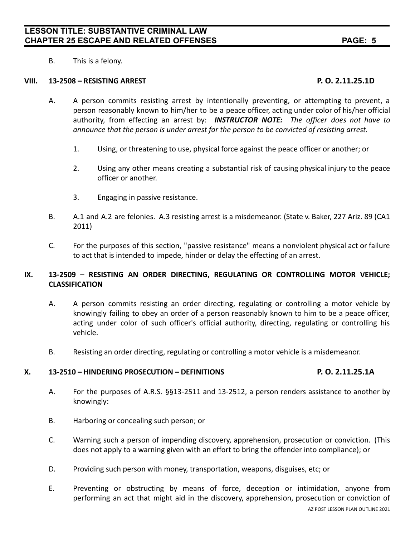B. This is a felony.

### **VIII. 13-2508 – RESISTING ARREST P. O. 2.11.25.1D**

- A. A person commits resisting arrest by intentionally preventing, or attempting to prevent, a person reasonably known to him/her to be a peace officer, acting under color of his/her official authority, from effecting an arrest by: *INSTRUCTOR NOTE: The officer does not have to announce that the person is under arrest for the person to be convicted of resisting arrest.*
	- 1. Using, or threatening to use, physical force against the peace officer or another; or
	- 2. Using any other means creating a substantial risk of causing physical injury to the peace officer or another.
	- 3. Engaging in passive resistance.
- B. A.1 and A.2 are felonies. A.3 resisting arrest is a misdemeanor. (State v. Baker, 227 Ariz. 89 (CA1 2011)
- C. For the purposes of this section, "passive resistance" means a nonviolent physical act or failure to act that is intended to impede, hinder or delay the effecting of an arrest.

# **IX. 13-2509 – RESISTING AN ORDER DIRECTING, REGULATING OR CONTROLLING MOTOR VEHICLE; CLASSIFICATION**

- A. A person commits resisting an order directing, regulating or controlling a motor vehicle by knowingly failing to obey an order of a person reasonably known to him to be a peace officer, acting under color of such officer's official authority, directing, regulating or controlling his vehicle.
- B. Resisting an order directing, regulating or controlling a motor vehicle is a misdemeanor.

### **X. 13-2510 – HINDERING PROSECUTION – DEFINITIONS P. O. 2.11.25.1A**

- A. For the purposes of A.R.S. §§13-2511 and 13-2512, a person renders assistance to another by knowingly:
- B. Harboring or concealing such person; or
- C. Warning such a person of impending discovery, apprehension, prosecution or conviction. (This does not apply to a warning given with an effort to bring the offender into compliance); or
- D. Providing such person with money, transportation, weapons, disguises, etc; or
- E. Preventing or obstructing by means of force, deception or intimidation, anyone from performing an act that might aid in the discovery, apprehension, prosecution or conviction of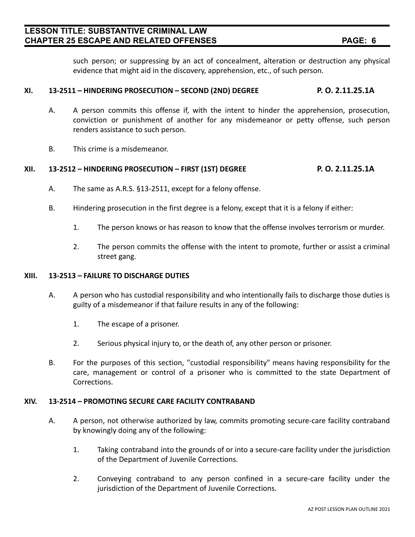# **LESSON TITLE: SUBSTANTIVE CRIMINAL LAW CHAPTER 25 ESCAPE AND RELATED OFFENSES PAGE: 6**

such person; or suppressing by an act of concealment, alteration or destruction any physical evidence that might aid in the discovery, apprehension, etc., of such person.

# **XI. 13-2511 – HINDERING PROSECUTION – SECOND (2ND) DEGREE P. O. 2.11.25.1A**

- A. A person commits this offense if, with the intent to hinder the apprehension, prosecution, conviction or punishment of another for any misdemeanor or petty offense, such person renders assistance to such person.
- B. This crime is a misdemeanor.

# **XII. 13-2512 – HINDERING PROSECUTION – FIRST (1ST) DEGREE P. O. 2.11.25.1A**

- A. The same as A.R.S. §13-2511, except for a felony offense.
- B. Hindering prosecution in the first degree is a felony, except that it is a felony if either:
	- 1. The person knows or has reason to know that the offense involves terrorism or murder.
	- 2. The person commits the offense with the intent to promote, further or assist a criminal street gang.

### **XIII. 13-2513 – FAILURE TO DISCHARGE DUTIES**

- A. A person who has custodial responsibility and who intentionally fails to discharge those duties is guilty of a misdemeanor if that failure results in any of the following:
	- 1. The escape of a prisoner.
	- 2. Serious physical injury to, or the death of, any other person or prisoner.
- B. For the purposes of this section, "custodial responsibility" means having responsibility for the care, management or control of a prisoner who is committed to the state Department of Corrections.

### **XIV. 13-2514 – PROMOTING SECURE CARE FACILITY CONTRABAND**

- A. A person, not otherwise authorized by law, commits promoting secure-care facility contraband by knowingly doing any of the following:
	- 1. Taking contraband into the grounds of or into a secure-care facility under the jurisdiction of the Department of Juvenile Corrections.
	- 2. Conveying contraband to any person confined in a secure-care facility under the jurisdiction of the Department of Juvenile Corrections.